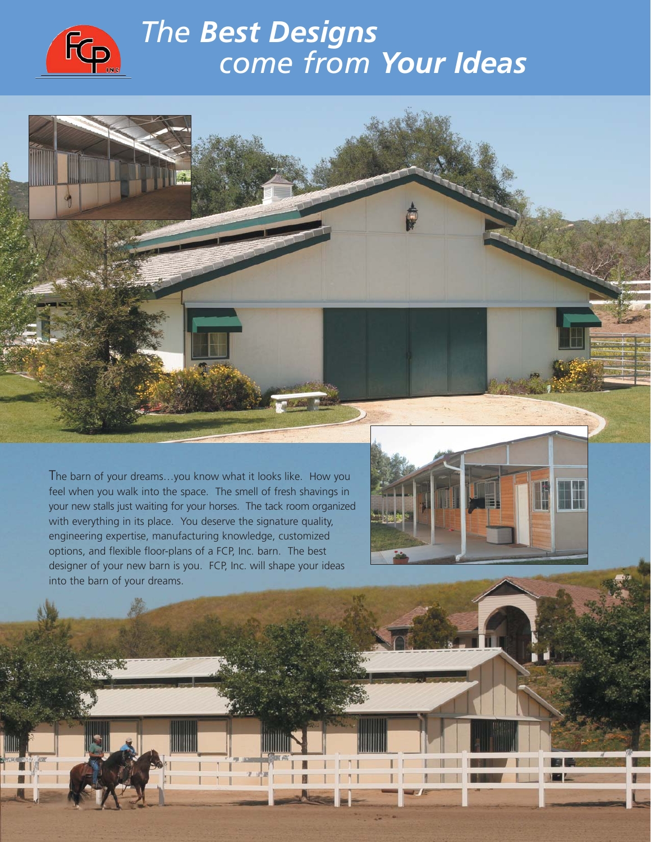

### *The Best Designs come from Your Ideas*

The barn of your dreams…you know what it looks like. How you feel when you walk into the space. The smell of fresh shavings in your new stalls just waiting for your horses. The tack room organized with everything in its place. You deserve the signature quality, engineering expertise, manufacturing knowledge, customized options, and flexible floor-plans of a FCP, Inc. barn. The best designer of your new barn is you. FCP, Inc. will shape your ideas into the barn of your dreams.

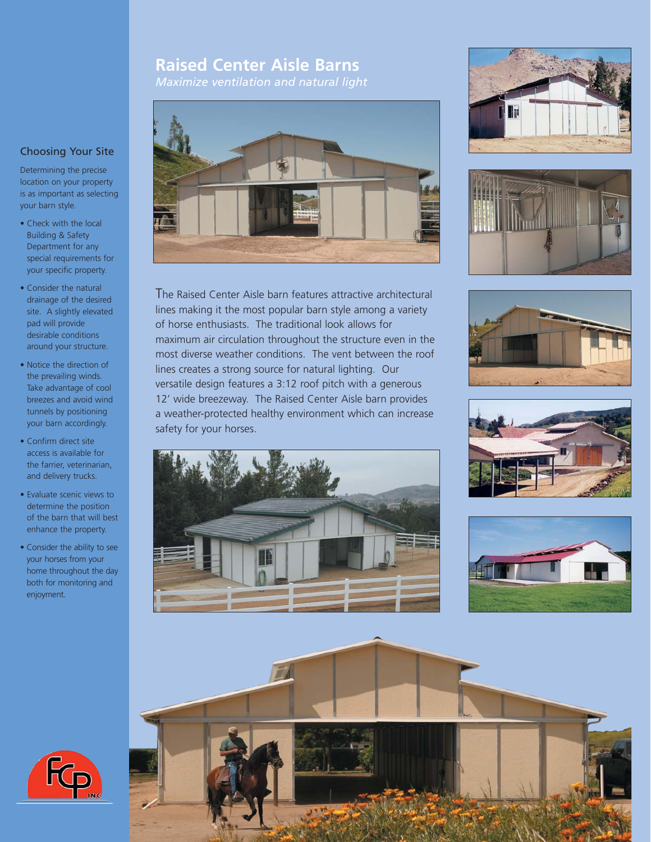#### **Raised Center Aisle Barns** *Maximize ventilation and natural light*

#### Choosing Your Site

Determining the precise location on your property is as important as selecting your barn style.

- Check with the local Building & Safety Department for any special requirements for your specific property.
- Consider the natural drainage of the desired site. A slightly elevated pad will provide desirable conditions around your structure.
- Notice the direction of the prevailing winds. Take advantage of cool breezes and avoid wind tunnels by positioning your barn accordingly.
- Confirm direct site access is available for the farrier, veterinarian, and delivery trucks.
- Evaluate scenic views to determine the position of the barn that will best enhance the property.
- Consider the ability to see your horses from your home throughout the day both for monitoring and enjoyment.













The Raised Center Aisle barn features attractive architectural lines making it the most popular barn style among a variety of horse enthusiasts. The traditional look allows for maximum air circulation throughout the structure even in the most diverse weather conditions. The vent between the roof lines creates a strong source for natural lighting. Our versatile design features a 3:12 roof pitch with a generous 12' wide breezeway. The Raised Center Aisle barn provides a weather-protected healthy environment which can increase safety for your horses.





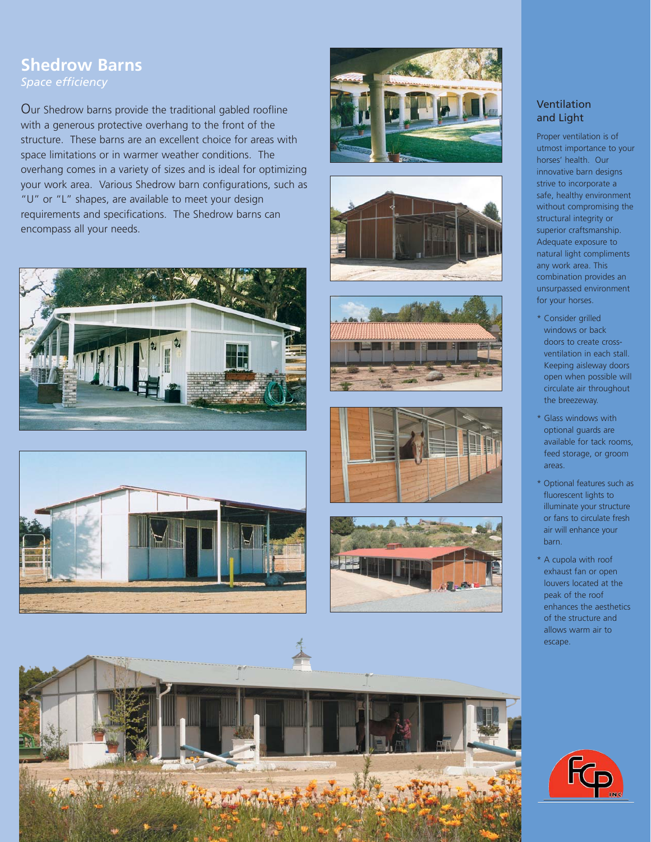# **Shedrow Barns**

Our Shedrow barns provide the traditional gabled roofline with a generous protective overhang to the front of the structure. These barns are an excellent choice for areas with space limitations or in warmer weather conditions. The overhang comes in a variety of sizes and is ideal for optimizing your work area. Various Shedrow barn configurations, such as "U" or "L" shapes, are available to meet your design requirements and specifications. The Shedrow barns can encompass all your needs.

















Proper ventilation is of utmost importance to your horses' health. Our innovative barn designs strive to incorporate a safe, healthy environment without compromising the structural integrity or superior craftsmanship. Adequate exposure to natural light compliments any work area. This combination provides an unsurpassed environment for your horses.

- \* Consider grilled windows or back doors to create crossventilation in each stall. Keeping aisleway doors open when possible will circulate air throughout the breezeway.
- \* Glass windows with optional guards are available for tack rooms, feed storage, or groom areas.
- \* Optional features such as fluorescent lights to illuminate your structure or fans to circulate fresh air will enhance your barn.
- \* A cupola with roof exhaust fan or open louvers located at the peak of the roof enhances the aesthetics of the structure and allows warm air to escape.